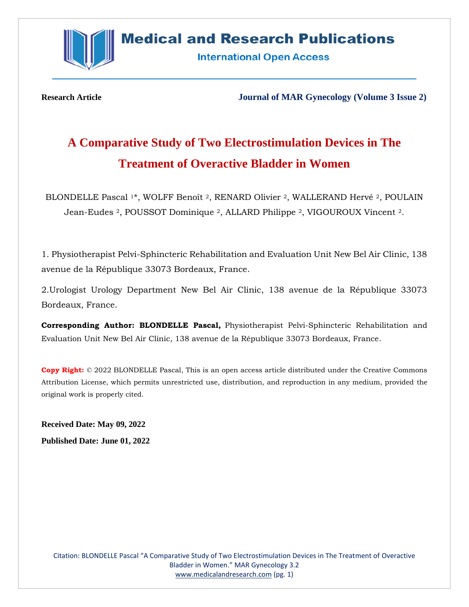

## **Medical and Research Publications**

**International Open Access** 

**Research Article Journal of MAR Gynecology (Volume 3 Issue 2)**

# **A Comparative Study of Two Electrostimulation Devices in The Treatment of Overactive Bladder in Women**

BLONDELLE Pascal <sup>1\*</sup>, WOLFF Benoît <sup>2</sup>, RENARD Olivier <sup>2</sup>, WALLERAND Hervé <sup>2</sup>, POULAIN Jean-Eudes 2, POUSSOT Dominique 2, ALLARD Philippe 2, VIGOUROUX Vincent 2.

1. Physiotherapist Pelvi-Sphincteric Rehabilitation and Evaluation Unit New Bel Air Clinic, 138 avenue de la République 33073 Bordeaux, France.

2.Urologist Urology Department New Bel Air Clinic, 138 avenue de la République 33073 Bordeaux, France.

**Corresponding Author: BLONDELLE Pascal,** Physiotherapist Pelvi-Sphincteric Rehabilitation and Evaluation Unit New Bel Air Clinic, 138 avenue de la République 33073 Bordeaux, France.

**Copy Right:** © 2022 BLONDELLE Pascal, This is an open access article distributed under the Creative Commons Attribution License, which permits unrestricted use, distribution, and reproduction in any medium, provided the original work is properly cited.

**Received Date: May 09, 2022 Published Date: June 01, 2022**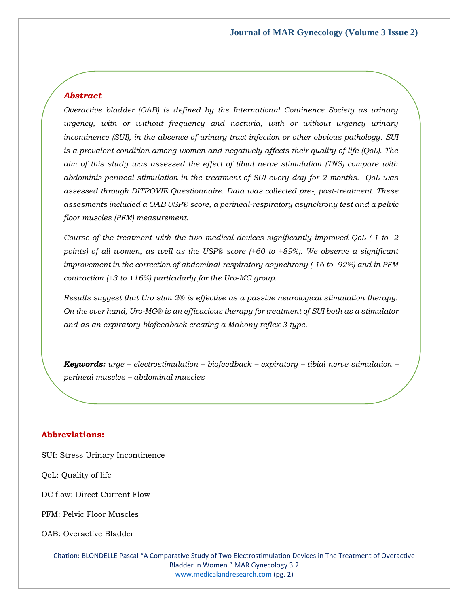#### *Abstract*

*Overactive bladder (OAB) is defined by the International Continence Society as urinary urgency, with or without frequency and nocturia, with or without urgency urinary incontinence (SUI), in the absence of urinary tract infection or other obvious pathology. SUI is a prevalent condition among women and negatively affects their quality of life (QoL). The aim of this study was assessed the effect of tibial nerve stimulation (TNS) compare with abdominis-perineal stimulation in the treatment of SUI every day for 2 months. QoL was assessed through DITROVIE Questionnaire. Data was collected pre-, post-treatment. These assesments included a OAB USP® score, a perineal-respiratory asynchrony test and a pelvic floor muscles (PFM) measurement.* 

*Course of the treatment with the two medical devices significantly improved QoL (-1 to -2 points) of all women, as well as the USP® score (+60 to +89%). We observe a significant improvement in the correction of abdominal-respiratory asynchrony (-16 to -92%) and in PFM contraction (+3 to +16%) particularly for the Uro-MG group.*

*Results suggest that Uro stim 2® is effective as a passive neurological stimulation therapy. On the over hand, Uro-MG® is an efficacious therapy for treatment of SUI both as a stimulator and as an expiratory biofeedback creating a Mahony reflex 3 type.*

*Keywords: urge – electrostimulation – biofeedback – expiratory – tibial nerve stimulation – perineal muscles – abdominal muscles*

#### **Abbreviations:**

- SUI: Stress Urinary Incontinence
- QoL: Quality of life
- DC flow: Direct Current Flow
- PFM: Pelvic Floor Muscles
- OAB: Overactive Bladder

Citation: BLONDELLE Pascal "A Comparative Study of Two Electrostimulation Devices in The Treatment of Overactive Bladder in Women." MAR Gynecology 3.2 [www.medicalandresearch.com](http://www.medicalandresearch.com/) (pg. 2)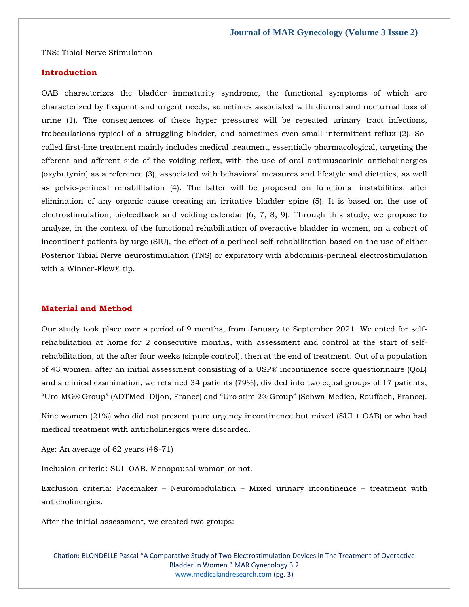TNS: Tibial Nerve Stimulation

#### **Introduction**

OAB characterizes the bladder immaturity syndrome, the functional symptoms of which are characterized by frequent and urgent needs, sometimes associated with diurnal and nocturnal loss of urine (1). The consequences of these hyper pressures will be repeated urinary tract infections, trabeculations typical of a struggling bladder, and sometimes even small intermittent reflux (2). Socalled first-line treatment mainly includes medical treatment, essentially pharmacological, targeting the efferent and afferent side of the voiding reflex, with the use of oral antimuscarinic anticholinergics (oxybutynin) as a reference (3), associated with behavioral measures and lifestyle and dietetics, as well as pelvic-perineal rehabilitation (4). The latter will be proposed on functional instabilities, after elimination of any organic cause creating an irritative bladder spine (5). It is based on the use of electrostimulation, biofeedback and voiding calendar (6, 7, 8, 9). Through this study, we propose to analyze, in the context of the functional rehabilitation of overactive bladder in women, on a cohort of incontinent patients by urge (SIU), the effect of a perineal self-rehabilitation based on the use of either Posterior Tibial Nerve neurostimulation (TNS) or expiratory with abdominis-perineal electrostimulation with a Winner-Flow® tip.

#### **Material and Method**

Our study took place over a period of 9 months, from January to September 2021. We opted for selfrehabilitation at home for 2 consecutive months, with assessment and control at the start of selfrehabilitation, at the after four weeks (simple control), then at the end of treatment. Out of a population of 43 women, after an initial assessment consisting of a USP® incontinence score questionnaire (QoL) and a clinical examination, we retained 34 patients (79%), divided into two equal groups of 17 patients, "Uro-MG® Group" (ADTMed, Dijon, France) and "Uro stim 2® Group" (Schwa-Medico, Rouffach, France).

Nine women (21%) who did not present pure urgency incontinence but mixed (SUI + OAB) or who had medical treatment with anticholinergics were discarded.

Age: An average of 62 years (48-71)

Inclusion criteria: SUI. OAB. Menopausal woman or not.

Exclusion criteria: Pacemaker – Neuromodulation – Mixed urinary incontinence – treatment with anticholinergics.

After the initial assessment, we created two groups:

Citation: BLONDELLE Pascal "A Comparative Study of Two Electrostimulation Devices in The Treatment of Overactive Bladder in Women." MAR Gynecology 3.2 [www.medicalandresearch.com](http://www.medicalandresearch.com/) (pg. 3)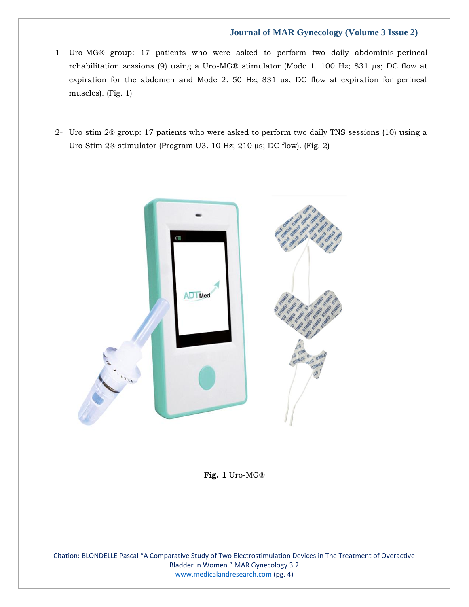- 1- Uro-MG® group: 17 patients who were asked to perform two daily abdominis-perineal rehabilitation sessions (9) using a Uro-MG® stimulator (Mode 1. 100 Hz; 831 µs; DC flow at expiration for the abdomen and Mode 2. 50 Hz; 831 µs, DC flow at expiration for perineal muscles). (Fig. 1)
- 2- Uro stim 2® group: 17 patients who were asked to perform two daily TNS sessions (10) using a Uro Stim 2® stimulator (Program U3. 10 Hz; 210 µs; DC flow). (Fig. 2)



**Fig. 1** Uro-MG®

Citation: BLONDELLE Pascal "A Comparative Study of Two Electrostimulation Devices in The Treatment of Overactive Bladder in Women." MAR Gynecology 3.2 [www.medicalandresearch.com](http://www.medicalandresearch.com/) (pg. 4)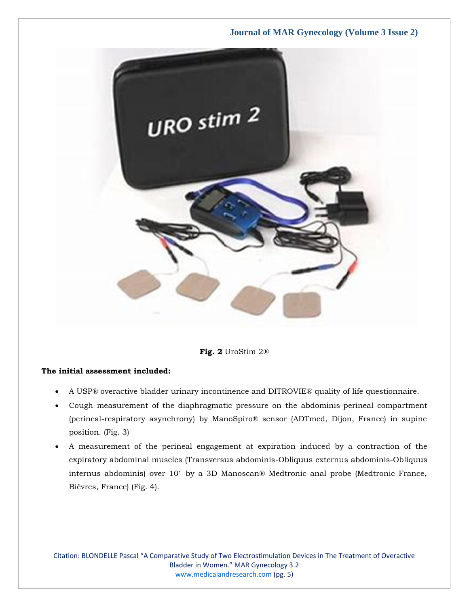

**Fig. 2** UroStim 2®

#### **The initial assessment included:**

- A USP® overactive bladder urinary incontinence and DITROVIE® quality of life questionnaire.
- Cough measurement of the diaphragmatic pressure on the abdominis-perineal compartment (perineal-respiratory asynchrony) by ManoSpiro® sensor (ADTmed, Dijon, France) in supine position. (Fig. 3)
- A measurement of the perineal engagement at expiration induced by a contraction of the expiratory abdominal muscles (Transversus abdominis-Obliquus externus abdominis-Obliquus internus abdominis) over 10'' by a 3D Manoscan® Medtronic anal probe (Medtronic France, Bièvres, France) (Fig. 4).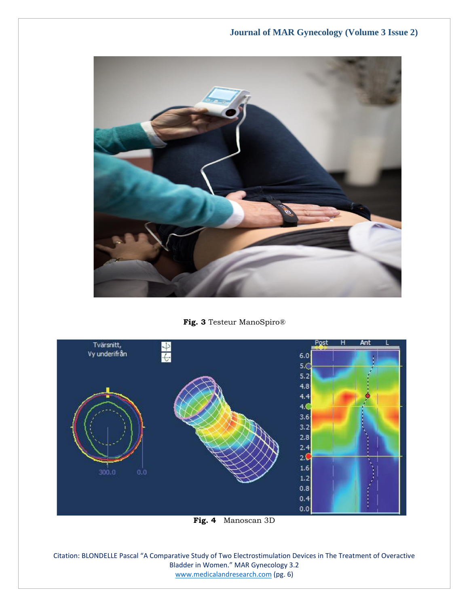

**Fig. 3** Testeur ManoSpiro®



**Fig. 4** Manoscan 3D

Citation: BLONDELLE Pascal "A Comparative Study of Two Electrostimulation Devices in The Treatment of Overactive Bladder in Women." MAR Gynecology 3.2 [www.medicalandresearch.com](http://www.medicalandresearch.com/) (pg. 6)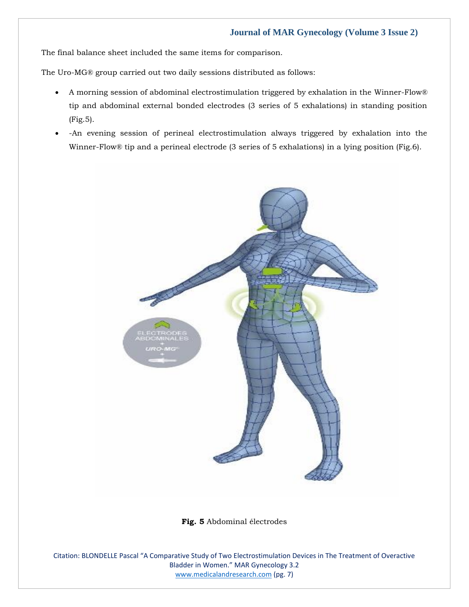The final balance sheet included the same items for comparison.

The Uro-MG® group carried out two daily sessions distributed as follows:

- A morning session of abdominal electrostimulation triggered by exhalation in the Winner-Flow® tip and abdominal external bonded electrodes (3 series of 5 exhalations) in standing position (Fig.5).
- -An evening session of perineal electrostimulation always triggered by exhalation into the Winner-Flow® tip and a perineal electrode (3 series of 5 exhalations) in a lying position (Fig.6).



**Fig. 5** Abdominal électrodes

Citation: BLONDELLE Pascal "A Comparative Study of Two Electrostimulation Devices in The Treatment of Overactive Bladder in Women." MAR Gynecology 3.2 [www.medicalandresearch.com](http://www.medicalandresearch.com/) (pg. 7)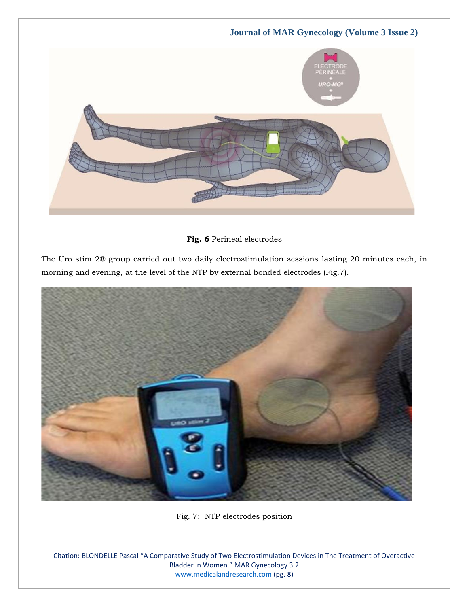

**Fig. 6** Perineal electrodes

The Uro stim 2® group carried out two daily electrostimulation sessions lasting 20 minutes each, in morning and evening, at the level of the NTP by external bonded electrodes (Fig.7).



Fig. 7: NTP electrodes position

Citation: BLONDELLE Pascal "A Comparative Study of Two Electrostimulation Devices in The Treatment of Overactive Bladder in Women." MAR Gynecology 3.2 [www.medicalandresearch.com](http://www.medicalandresearch.com/) (pg. 8)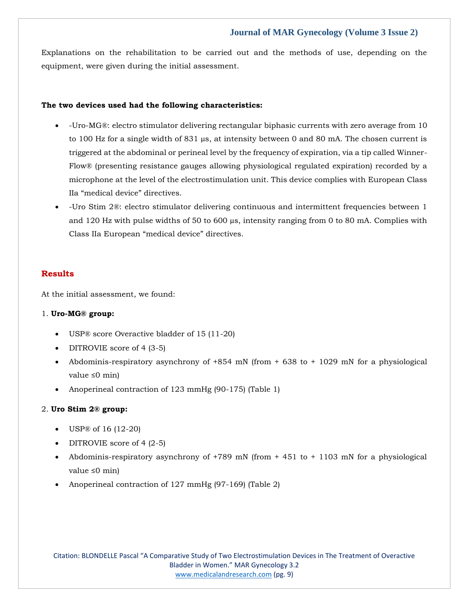Explanations on the rehabilitation to be carried out and the methods of use, depending on the equipment, were given during the initial assessment.

#### **The two devices used had the following characteristics:**

- -Uro-MG®: electro stimulator delivering rectangular biphasic currents with zero average from 10 to 100 Hz for a single width of 831  $\mu$ s, at intensity between 0 and 80 mA. The chosen current is triggered at the abdominal or perineal level by the frequency of expiration, via a tip called Winner-Flow® (presenting resistance gauges allowing physiological regulated expiration) recorded by a microphone at the level of the electrostimulation unit. This device complies with European Class IIa "medical device" directives.
- -Uro Stim 2®: electro stimulator delivering continuous and intermittent frequencies between 1 and 120 Hz with pulse widths of 50 to 600  $\mu$ s, intensity ranging from 0 to 80 mA. Complies with Class IIa European "medical device" directives.

#### **Results**

At the initial assessment, we found:

#### 1. **Uro-MG® group:**

- USP® score Overactive bladder of 15 (11-20)
- DITROVIE score of 4 (3-5)
- Abdominis-respiratory asynchrony of +854 mN (from + 638 to + 1029 mN for a physiological value ≤0 min)
- Anoperineal contraction of 123 mmHg (90-175) (Table 1)

#### 2. **Uro Stim 2® group:**

- USP® of 16 (12-20)
- DITROVIE score of 4  $(2-5)$
- Abdominis-respiratory asynchrony of +789 mN (from + 451 to + 1103 mN for a physiological value ≤0 min)
- Anoperineal contraction of 127 mmHg (97-169) (Table 2)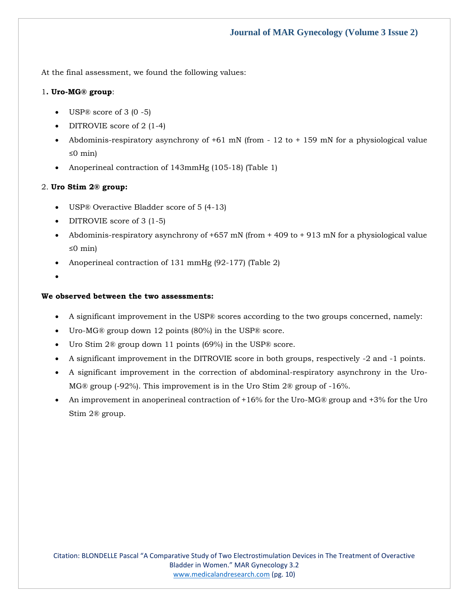At the final assessment, we found the following values:

#### 1**. Uro-MG® group**:

- USP $\textcircled{8}$  score of 3 (0 -5)
- DITROVIE score of 2 (1-4)
- Abdominis-respiratory asynchrony of  $+61$  mN (from  $-12$  to  $+159$  mN for a physiological value ≤0 min)
- Anoperineal contraction of 143mmHg (105-18) (Table 1)

## 2. **Uro Stim 2® group:**

- USP® Overactive Bladder score of 5 (4-13)
- DITROVIE score of 3 (1-5)
- Abdominis-respiratory asynchrony of +657 mN (from + 409 to + 913 mN for a physiological value ≤0 min)
- Anoperineal contraction of 131 mmHg (92-177) (Table 2)
- •

#### **We observed between the two assessments:**

- A significant improvement in the USP® scores according to the two groups concerned, namely:
- Uro-MG® group down 12 points (80%) in the USP® score.
- Uro Stim 2® group down 11 points (69%) in the USP® score.
- A significant improvement in the DITROVIE score in both groups, respectively -2 and -1 points.
- A significant improvement in the correction of abdominal-respiratory asynchrony in the Uro-MG® group (-92%). This improvement is in the Uro Stim 2® group of -16%.
- An improvement in anoperineal contraction of +16% for the Uro-MG® group and +3% for the Uro Stim 2® group.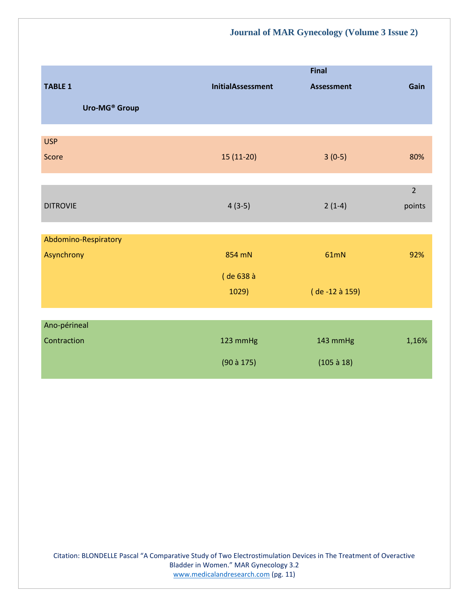|                      |                          | <b>Final</b>      |                |
|----------------------|--------------------------|-------------------|----------------|
| <b>TABLE 1</b>       | <b>InitialAssessment</b> | <b>Assessment</b> | Gain           |
| Uro-MG® Group        |                          |                   |                |
|                      |                          |                   |                |
| <b>USP</b>           |                          |                   |                |
| Score                | $15(11-20)$              | $3(0-5)$          | 80%            |
|                      |                          |                   |                |
|                      |                          |                   | $\overline{2}$ |
| <b>DITROVIE</b>      | $4(3-5)$                 | $2(1-4)$          | points         |
|                      |                          |                   |                |
| Abdomino-Respiratory |                          |                   |                |
| Asynchrony           | 854 mN                   | 61mN              | 92%            |
|                      | (de 638 à                |                   |                |
|                      | 1029)                    | (de -12 à 159)    |                |
|                      |                          |                   |                |
| Ano-périneal         |                          |                   |                |
| Contraction          | 123 mmHg                 | 143 mmHg          | 1,16%          |
|                      | $(90$ à 175)             | $(105 \land 18)$  |                |
|                      |                          |                   |                |

Citation: BLONDELLE Pascal "A Comparative Study of Two Electrostimulation Devices in The Treatment of Overactive Bladder in Women." MAR Gynecology 3.2 [www.medicalandresearch.com](http://www.medicalandresearch.com/) (pg. 11)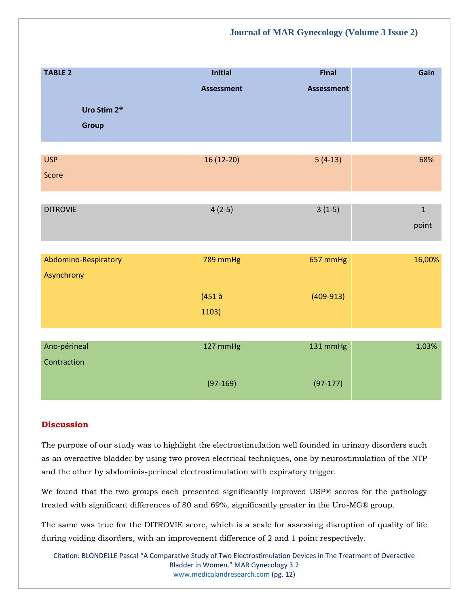| <b>TABLE 2</b>          | Initial           | <b>Final</b>      | Gain         |
|-------------------------|-------------------|-------------------|--------------|
|                         | <b>Assessment</b> | <b>Assessment</b> |              |
| Uro Stim 2 <sup>®</sup> |                   |                   |              |
| <b>Group</b>            |                   |                   |              |
|                         |                   |                   |              |
| <b>USP</b>              | 16 (12-20)        | $5(4-13)$         | 68%          |
| Score                   |                   |                   |              |
|                         |                   |                   |              |
| <b>DITROVIE</b>         | $4(2-5)$          | $3(1-5)$          | $\mathbf{1}$ |
|                         |                   |                   | point        |
|                         |                   |                   |              |
| Abdomino-Respiratory    | 789 mmHg          | 657 mmHg          | 16,00%       |
| Asynchrony              |                   |                   |              |
|                         | $(451$ à          | $(409-913)$       |              |
|                         | 1103)             |                   |              |
|                         |                   |                   |              |
|                         |                   |                   |              |
| Ano-périneal            | 127 mmHg          | 131 mmHg          | 1,03%        |
| Contraction             |                   |                   |              |
|                         | $(97-169)$        | $(97-177)$        |              |

## **Discussion**

The purpose of our study was to highlight the electrostimulation well founded in urinary disorders such as an overactive bladder by using two proven electrical techniques, one by neurostimulation of the NTP and the other by abdominis-perineal electrostimulation with expiratory trigger.

We found that the two groups each presented significantly improved USP® scores for the pathology treated with significant differences of 80 and 69%, significantly greater in the Uro-MG® group.

The same was true for the DITROVIE score, which is a scale for assessing disruption of quality of life during voiding disorders, with an improvement difference of 2 and 1 point respectively.

Citation: BLONDELLE Pascal "A Comparative Study of Two Electrostimulation Devices in The Treatment of Overactive Bladder in Women." MAR Gynecology 3.2 [www.medicalandresearch.com](http://www.medicalandresearch.com/) (pg. 12)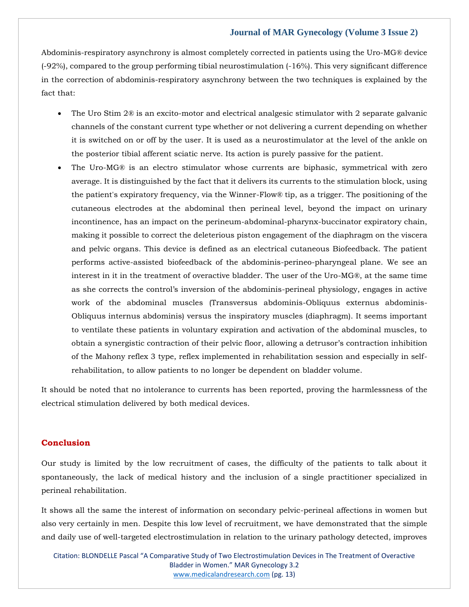Abdominis-respiratory asynchrony is almost completely corrected in patients using the Uro-MG® device (-92%), compared to the group performing tibial neurostimulation (-16%). This very significant difference in the correction of abdominis-respiratory asynchrony between the two techniques is explained by the fact that:

- The Uro Stim 2<sup>®</sup> is an excito-motor and electrical analgesic stimulator with 2 separate galvanic channels of the constant current type whether or not delivering a current depending on whether it is switched on or off by the user. It is used as a neurostimulator at the level of the ankle on the posterior tibial afferent sciatic nerve. Its action is purely passive for the patient.
- The Uro-MG® is an electro stimulator whose currents are biphasic, symmetrical with zero average. It is distinguished by the fact that it delivers its currents to the stimulation block, using the patient's expiratory frequency, via the Winner-Flow® tip, as a trigger. The positioning of the cutaneous electrodes at the abdominal then perineal level, beyond the impact on urinary incontinence, has an impact on the perineum-abdominal-pharynx-buccinator expiratory chain, making it possible to correct the deleterious piston engagement of the diaphragm on the viscera and pelvic organs. This device is defined as an electrical cutaneous Biofeedback. The patient performs active-assisted biofeedback of the abdominis-perineo-pharyngeal plane. We see an interest in it in the treatment of overactive bladder. The user of the Uro-MG®, at the same time as she corrects the control's inversion of the abdominis-perineal physiology, engages in active work of the abdominal muscles (Transversus abdominis-Obliquus externus abdominis-Obliquus internus abdominis) versus the inspiratory muscles (diaphragm). It seems important to ventilate these patients in voluntary expiration and activation of the abdominal muscles, to obtain a synergistic contraction of their pelvic floor, allowing a detrusor's contraction inhibition of the Mahony reflex 3 type, reflex implemented in rehabilitation session and especially in selfrehabilitation, to allow patients to no longer be dependent on bladder volume.

It should be noted that no intolerance to currents has been reported, proving the harmlessness of the electrical stimulation delivered by both medical devices.

#### **Conclusion**

Our study is limited by the low recruitment of cases, the difficulty of the patients to talk about it spontaneously, the lack of medical history and the inclusion of a single practitioner specialized in perineal rehabilitation.

It shows all the same the interest of information on secondary pelvic-perineal affections in women but also very certainly in men. Despite this low level of recruitment, we have demonstrated that the simple and daily use of well-targeted electrostimulation in relation to the urinary pathology detected, improves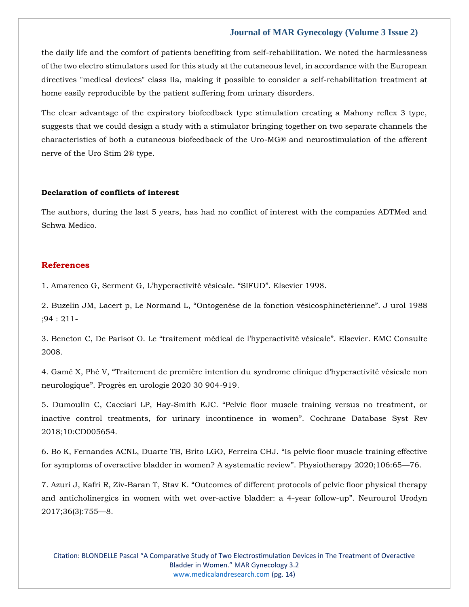the daily life and the comfort of patients benefiting from self-rehabilitation. We noted the harmlessness of the two electro stimulators used for this study at the cutaneous level, in accordance with the European directives "medical devices" class IIa, making it possible to consider a self-rehabilitation treatment at home easily reproducible by the patient suffering from urinary disorders.

The clear advantage of the expiratory biofeedback type stimulation creating a Mahony reflex 3 type, suggests that we could design a study with a stimulator bringing together on two separate channels the characteristics of both a cutaneous biofeedback of the Uro-MG® and neurostimulation of the afferent nerve of the Uro Stim 2® type.

#### **Declaration of conflicts of interest**

The authors, during the last 5 years, has had no conflict of interest with the companies ADTMed and Schwa Medico.

#### **References**

1. Amarenco G[, Serment G, L'hyperactivité vésicale. "](https://www.google.com/search?q=%E2%80%9CSIFUD%E2%80%9D.+&rlz=1C1CHBF_enIN1000IN1000&sxsrf=ALiCzsbVHkvnfAsWeKthD5GSeysTUAM4qA%3A1652251330715&ei=wlp7YrWvK4qjseMPkdiHmAs&ved=0ahUKEwi1mJbt69b3AhWKUWwGHRHsAbMQ4dUDCA4&uact=5&oq=%E2%80%9CSIFUD%E2%80%9D.+&gs_lcp=Cgdnd3Mtd2l6EAMyBggAEBYQHjIICAAQFhAKEB4yCAgAEBYQChAeMgYIABAWEB4yBggAEBYQHjIGCAAQFhAeMgYIABAWEB4yBggAEBYQHjIGCAAQFhAeMgYIABAWEB46BwgjEOoCECdKBAhBGABKBAhGGABQyANYyANg5BBoAXABeACAAaUBiAGlAZIBAzAuMZgBAKABAaABArABCsABAQ&sclient=gws-wiz)SIFUD". Elsevier 1998.

2. Buzelin JM, Lacert p, Le Normand L, "[Ontogenèse de la fonction vésicosphinctérienne](https://www.google.com/search?q=Ontogen%C3%A8se+de+la+fonction+v%C3%A9sicosphinct%C3%A9rienne&rlz=1C1CHBF_enIN1000IN1000&sxsrf=ALiCzsY9xwR_DrfPeIUfPM90tgqtnO2L6Q%3A1652251314480&ei=slp7YoD2HMSOseMPiI-vkAs&ved=0ahUKEwiAl7fl69b3AhVER2wGHYjHC7IQ4dUDCA4&uact=5&oq=Ontogen%C3%A8se+de+la+fonction+v%C3%A9sicosphinct%C3%A9rienne&gs_lcp=Cgdnd3Mtd2l6EAM6BwgjEOoCECdKBAhBGABKBAhGGABQrw1Yrw1g-BpoAXABeACAAcoBiAHKAZIBAzItMZgBAKABAaABArABCsABAQ&sclient=gws-wiz)". J urol 1988 [;94 : 211-](https://www.google.com/search?q=Ontogen%C3%A8se+de+la+fonction+v%C3%A9sicosphinct%C3%A9rienne&rlz=1C1CHBF_enIN1000IN1000&sxsrf=ALiCzsY9xwR_DrfPeIUfPM90tgqtnO2L6Q%3A1652251314480&ei=slp7YoD2HMSOseMPiI-vkAs&ved=0ahUKEwiAl7fl69b3AhVER2wGHYjHC7IQ4dUDCA4&uact=5&oq=Ontogen%C3%A8se+de+la+fonction+v%C3%A9sicosphinct%C3%A9rienne&gs_lcp=Cgdnd3Mtd2l6EAM6BwgjEOoCECdKBAhBGABKBAhGGABQrw1Yrw1g-BpoAXABeACAAcoBiAHKAZIBAzItMZgBAKABAaABArABCsABAQ&sclient=gws-wiz)

3. Beneton C, De Parisot O. Le ["traitement médical de l'hyperactivité vésicale"](https://www.google.com/search?q=traitement+m%C3%A9dical+de+l%E2%80%99hyperactivit%C3%A9+v%C3%A9sicale%E2%80%9D.+&rlz=1C1CHBF_enIN1000IN1000&sxsrf=ALiCzsbCHht7Y7IR2BFqF83bIeHJ3-AYQg%3A1652251299133&ei=o1p7Yp3nB_WVseMP6am58AM&ved=0ahUKEwjdxI7e69b3AhX1SmwGHelUDj4Q4dUDCA4&uact=5&oq=traitement+m%C3%A9dical+de+l%E2%80%99hyperactivit%C3%A9+v%C3%A9sicale%E2%80%9D.+&gs_lcp=Cgdnd3Mtd2l6EAMyCAghEBYQHRAeOgcIIxDqAhAnSgQIQRgASgQIRhgAUMcHWMcHYPYOaAJwAHgAgAHSBogB0gaSAQM2LTGYAQCgAQGgAQKwAQrAAQE&sclient=gws-wiz). Elsevier. EMC Consulte [2008.](https://www.google.com/search?q=traitement+m%C3%A9dical+de+l%E2%80%99hyperactivit%C3%A9+v%C3%A9sicale%E2%80%9D.+&rlz=1C1CHBF_enIN1000IN1000&sxsrf=ALiCzsbCHht7Y7IR2BFqF83bIeHJ3-AYQg%3A1652251299133&ei=o1p7Yp3nB_WVseMP6am58AM&ved=0ahUKEwjdxI7e69b3AhX1SmwGHelUDj4Q4dUDCA4&uact=5&oq=traitement+m%C3%A9dical+de+l%E2%80%99hyperactivit%C3%A9+v%C3%A9sicale%E2%80%9D.+&gs_lcp=Cgdnd3Mtd2l6EAMyCAghEBYQHRAeOgcIIxDqAhAnSgQIQRgASgQIRhgAUMcHWMcHYPYOaAJwAHgAgAHSBogB0gaSAQM2LTGYAQCgAQGgAQKwAQrAAQE&sclient=gws-wiz)

4. Gamé X, Phé V, "[Traitement de première intention du syndrome c](https://www.google.com/search?q=%E2%80%9CTraitement+de+premi%C3%A8re+intention+du+syndrome+clinique+d%E2%80%99hyperactivit%C3%A9+v%C3%A9sicale+non+neurologique%E2%80%9D.+&rlz=1C1CHBF_enIN1000IN1000&sxsrf=ALiCzsYIUQ53mieNcT5rHRbFPfdUTxaeug%3A1652251282343&ei=klp7Ys_LFKCWseMPw7Wm4AY&ved=0ahUKEwjP3I3W69b3AhUgS2wGHcOaCWwQ4dUDCA4&uact=5&oq=%E2%80%9CTraitement+de+premi%C3%A8re+intention+du+syndrome+clinique+d%E2%80%99hyperactivit%C3%A9+v%C3%A9sicale+non+neurologique%E2%80%9D.+&gs_lcp=Cgdnd3Mtd2l6EAMyBwgjEOoCECcyBwgjEOoCECcyBwgjEOoCECcyBwgjEOoCECcyBwgjEOoCECcyBwgjEOoCECcyBwgjEOoCECcyBwgjEOoCECcyBwgjEOoCECcyBwgjEOoCECdKBAhBGABKBAhGGABQlghYlghg6xBoAnABeACAAQCIAQCSAQCYAQCgAQGgAQKwAQrAAQE&sclient=gws-wiz)linique d'hyperactivité vésicale non neurologique"[. Progrès en urologie 2020 30 904-919.](https://www.google.com/search?q=%E2%80%9CTraitement+de+premi%C3%A8re+intention+du+syndrome+clinique+d%E2%80%99hyperactivit%C3%A9+v%C3%A9sicale+non+neurologique%E2%80%9D.+&rlz=1C1CHBF_enIN1000IN1000&sxsrf=ALiCzsYIUQ53mieNcT5rHRbFPfdUTxaeug%3A1652251282343&ei=klp7Ys_LFKCWseMPw7Wm4AY&ved=0ahUKEwjP3I3W69b3AhUgS2wGHcOaCWwQ4dUDCA4&uact=5&oq=%E2%80%9CTraitement+de+premi%C3%A8re+intention+du+syndrome+clinique+d%E2%80%99hyperactivit%C3%A9+v%C3%A9sicale+non+neurologique%E2%80%9D.+&gs_lcp=Cgdnd3Mtd2l6EAMyBwgjEOoCECcyBwgjEOoCECcyBwgjEOoCECcyBwgjEOoCECcyBwgjEOoCECcyBwgjEOoCECcyBwgjEOoCECcyBwgjEOoCECcyBwgjEOoCECcyBwgjEOoCECdKBAhBGABKBAhGGABQlghYlghg6xBoAnABeACAAQCIAQCSAQCYAQCgAQGgAQKwAQrAAQE&sclient=gws-wiz)

5. Dumoulin C, Cacciari LP, Hay-Smith EJC. "[Pelvic floor muscle training versus no treatment, or](https://www.google.com/search?q=%E2%80%9CPelvic+floor+muscle+training+versus+no+treatment%2C+or+inactive+control+treatments%2C+for+urinary+incontinence+in+women%E2%80%9D.&rlz=1C1CHBF_enIN1000IN1000&sxsrf=ALiCzsYoEJ8bi6sHWd8c7qdfPerlJrMnaQ%3A1652251265495&ei=gVp7YvbnHeCTseMP172hkAM&ved=0ahUKEwi2rInO69b3AhXgSWwGHddeCDIQ4dUDCA4&uact=5&oq=%E2%80%9CPelvic+floor+muscle+training+versus+no+treatment%2C+or+inactive+control+treatments%2C+for+urinary+incontinence+in+women%E2%80%9D.&gs_lcp=Cgdnd3Mtd2l6EAMyBwgjEOoCECcyBwgjEOoCECcyBwgjEOoCECcyBwgjEOoCECcyBwgjEOoCECcyBwgjEOoCECcyBwgjEOoCECcyBwgjEOoCECcyBwgjEOoCECcyBwgjEOoCECdKBAhBGABKBAhGGABQxwtYxwtg0hNoAXAAeACAAQCIAQCSAQCYAQCgAQGgAQKwAQrAAQE&sclient=gws-wiz)  [inactive control treatments, for urinary incontinence in women](https://www.google.com/search?q=%E2%80%9CPelvic+floor+muscle+training+versus+no+treatment%2C+or+inactive+control+treatments%2C+for+urinary+incontinence+in+women%E2%80%9D.&rlz=1C1CHBF_enIN1000IN1000&sxsrf=ALiCzsYoEJ8bi6sHWd8c7qdfPerlJrMnaQ%3A1652251265495&ei=gVp7YvbnHeCTseMP172hkAM&ved=0ahUKEwi2rInO69b3AhXgSWwGHddeCDIQ4dUDCA4&uact=5&oq=%E2%80%9CPelvic+floor+muscle+training+versus+no+treatment%2C+or+inactive+control+treatments%2C+for+urinary+incontinence+in+women%E2%80%9D.&gs_lcp=Cgdnd3Mtd2l6EAMyBwgjEOoCECcyBwgjEOoCECcyBwgjEOoCECcyBwgjEOoCECcyBwgjEOoCECcyBwgjEOoCECcyBwgjEOoCECcyBwgjEOoCECcyBwgjEOoCECcyBwgjEOoCECdKBAhBGABKBAhGGABQxwtYxwtg0hNoAXAAeACAAQCIAQCSAQCYAQCgAQGgAQKwAQrAAQE&sclient=gws-wiz)". Cochrane Database Syst Rev [2018;10:CD005654.](https://www.google.com/search?q=%E2%80%9CPelvic+floor+muscle+training+versus+no+treatment%2C+or+inactive+control+treatments%2C+for+urinary+incontinence+in+women%E2%80%9D.&rlz=1C1CHBF_enIN1000IN1000&sxsrf=ALiCzsYoEJ8bi6sHWd8c7qdfPerlJrMnaQ%3A1652251265495&ei=gVp7YvbnHeCTseMP172hkAM&ved=0ahUKEwi2rInO69b3AhXgSWwGHddeCDIQ4dUDCA4&uact=5&oq=%E2%80%9CPelvic+floor+muscle+training+versus+no+treatment%2C+or+inactive+control+treatments%2C+for+urinary+incontinence+in+women%E2%80%9D.&gs_lcp=Cgdnd3Mtd2l6EAMyBwgjEOoCECcyBwgjEOoCECcyBwgjEOoCECcyBwgjEOoCECcyBwgjEOoCECcyBwgjEOoCECcyBwgjEOoCECcyBwgjEOoCECcyBwgjEOoCECcyBwgjEOoCECdKBAhBGABKBAhGGABQxwtYxwtg0hNoAXAAeACAAQCIAQCSAQCYAQCgAQGgAQKwAQrAAQE&sclient=gws-wiz)

6. [Bo K, Fernandes ACNL, Duarte TB, Brito LGO, Ferreira CHJ.](https://www.google.com/search?q=%E2%80%9CIs+pelvic+floor+muscle+training+effective+for+symptoms+of+overactive+bladder+in+women%3F+A+systematic+review%E2%80%9D.+&rlz=1C1CHBF_enIN1000IN1000&sxsrf=ALiCzsYIhVrQyhEFKIZZ4n-win-z2AJL-w%3A1652251249702&ei=cVp7YrbCKvKcseMPkp2HuAk&ved=0ahUKEwj2vsXG69b3AhVyTmwGHZLOAZcQ4dUDCA4&uact=5&oq=%E2%80%9CIs+pelvic+floor+muscle+training+effective+for+symptoms+of+overactive+bladder+in+women%3F+A+systematic+review%E2%80%9D.+&gs_lcp=Cgdnd3Mtd2l6EANKBAhBGAFKBAhGGABQhwtYhwtg9BBoA3AAeACAAQCIAQCSAQCYAQCgAQKgAQHAAQE&sclient=gws-wiz) "Is pelvic floor muscle training effective [for symptoms of overactive bladder in women? A systematic review](https://www.google.com/search?q=%E2%80%9CIs+pelvic+floor+muscle+training+effective+for+symptoms+of+overactive+bladder+in+women%3F+A+systematic+review%E2%80%9D.+&rlz=1C1CHBF_enIN1000IN1000&sxsrf=ALiCzsYIhVrQyhEFKIZZ4n-win-z2AJL-w%3A1652251249702&ei=cVp7YrbCKvKcseMPkp2HuAk&ved=0ahUKEwj2vsXG69b3AhVyTmwGHZLOAZcQ4dUDCA4&uact=5&oq=%E2%80%9CIs+pelvic+floor+muscle+training+effective+for+symptoms+of+overactive+bladder+in+women%3F+A+systematic+review%E2%80%9D.+&gs_lcp=Cgdnd3Mtd2l6EANKBAhBGAFKBAhGGABQhwtYhwtg9BBoA3AAeACAAQCIAQCSAQCYAQCgAQKgAQHAAQE&sclient=gws-wiz)". Physiotherapy 2020;106:65—76.

7. Azuri J, Kafri R, Ziv-Baran T, Stav K. "[Outcomes of different protocols of pelvic floor physical therapy](https://www.google.com/search?q=%E2%80%9COutcomes+of+different+protocols+of+pelvic+floor+physical+therapy+and+anticholinergics+in+women+with+wet+over-active+bladder%3A+a+4-year+follow-up%E2%80%9D.+&rlz=1C1CHBF_enIN1000IN1000&sxsrf=ALiCzsY6LdUS88xb1geOYlmJ-XP8_3aMiA%3A1652251233156&ei=YVp7YvKYCaqWseMPguqT-A0&ved=0ahUKEwiyzdO-69b3AhUqS2wGHQL1BN8Q4dUDCA4&uact=5&oq=%E2%80%9COutcomes+of+different+protocols+of+pelvic+floor+physical+therapy+and+anticholinergics+in+women+with+wet+over-active+bladder%3A+a+4-year+follow-up%E2%80%9D.+&gs_lcp=Cgdnd3Mtd2l6EAMyBwgjEOoCECcyBwgjEOoCECcyBwgjEOoCECcyBwgjEOoCECcyBwgjEOoCECcyBwgjEOoCECcyBwgjEOoCECcyBwgjEOoCECcyBwgjEOoCECcyBwgjEOoCECc6BwgAEEcQsAM6CggAEEcQsAMQyQNKBAhBGABKBAhGGABQswxY6Q5gjhhoBXABeACAAQCIAQCSAQCYAQCgAQGgAQKwAQrIAQjAAQE&sclient=gws-wiz)  [and anticholinergics in women with wet over-active bladder: a 4-year follow-up](https://www.google.com/search?q=%E2%80%9COutcomes+of+different+protocols+of+pelvic+floor+physical+therapy+and+anticholinergics+in+women+with+wet+over-active+bladder%3A+a+4-year+follow-up%E2%80%9D.+&rlz=1C1CHBF_enIN1000IN1000&sxsrf=ALiCzsY6LdUS88xb1geOYlmJ-XP8_3aMiA%3A1652251233156&ei=YVp7YvKYCaqWseMPguqT-A0&ved=0ahUKEwiyzdO-69b3AhUqS2wGHQL1BN8Q4dUDCA4&uact=5&oq=%E2%80%9COutcomes+of+different+protocols+of+pelvic+floor+physical+therapy+and+anticholinergics+in+women+with+wet+over-active+bladder%3A+a+4-year+follow-up%E2%80%9D.+&gs_lcp=Cgdnd3Mtd2l6EAMyBwgjEOoCECcyBwgjEOoCECcyBwgjEOoCECcyBwgjEOoCECcyBwgjEOoCECcyBwgjEOoCECcyBwgjEOoCECcyBwgjEOoCECcyBwgjEOoCECcyBwgjEOoCECc6BwgAEEcQsAM6CggAEEcQsAMQyQNKBAhBGABKBAhGGABQswxY6Q5gjhhoBXABeACAAQCIAQCSAQCYAQCgAQGgAQKwAQrIAQjAAQE&sclient=gws-wiz)". Neurourol Urodyn [2017;36\(3\):755](https://www.google.com/search?q=%E2%80%9COutcomes+of+different+protocols+of+pelvic+floor+physical+therapy+and+anticholinergics+in+women+with+wet+over-active+bladder%3A+a+4-year+follow-up%E2%80%9D.+&rlz=1C1CHBF_enIN1000IN1000&sxsrf=ALiCzsY6LdUS88xb1geOYlmJ-XP8_3aMiA%3A1652251233156&ei=YVp7YvKYCaqWseMPguqT-A0&ved=0ahUKEwiyzdO-69b3AhUqS2wGHQL1BN8Q4dUDCA4&uact=5&oq=%E2%80%9COutcomes+of+different+protocols+of+pelvic+floor+physical+therapy+and+anticholinergics+in+women+with+wet+over-active+bladder%3A+a+4-year+follow-up%E2%80%9D.+&gs_lcp=Cgdnd3Mtd2l6EAMyBwgjEOoCECcyBwgjEOoCECcyBwgjEOoCECcyBwgjEOoCECcyBwgjEOoCECcyBwgjEOoCECcyBwgjEOoCECcyBwgjEOoCECcyBwgjEOoCECcyBwgjEOoCECc6BwgAEEcQsAM6CggAEEcQsAMQyQNKBAhBGABKBAhGGABQswxY6Q5gjhhoBXABeACAAQCIAQCSAQCYAQCgAQGgAQKwAQrIAQjAAQE&sclient=gws-wiz)—8.